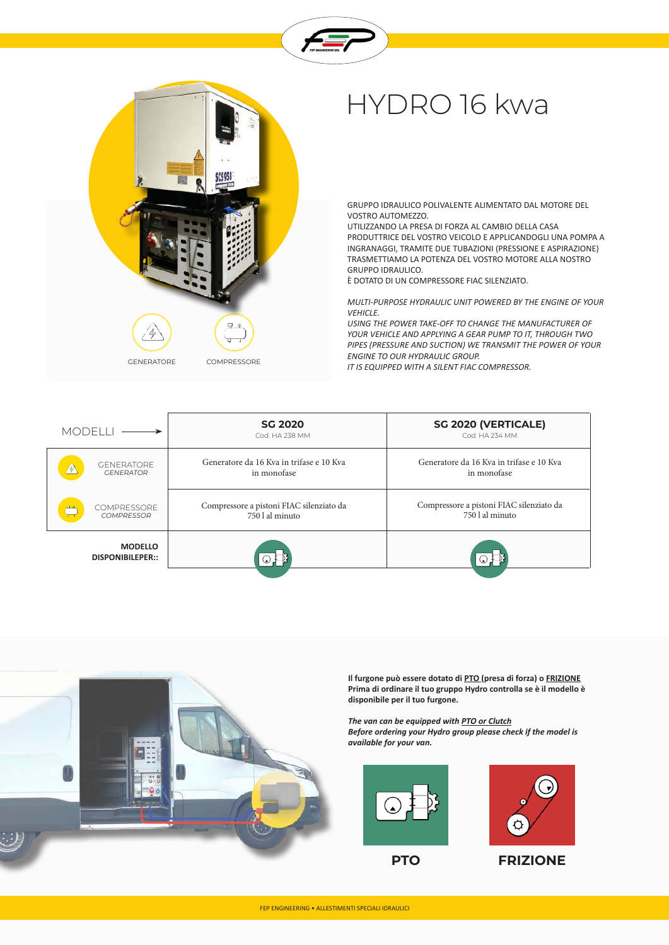



## HYDRO 16 kwa

GRUPPO IDRAULICO POLIVALENTE ALIMENTATO DAL MOTORE DEL VOSTRO AUTOMEZZO.

UTILIZZANDO LA PRESA DI FORZA AL CAMBIO DELLA CASA PRODUTTRICE DEL VOSTRO VEICOLO E APPLICANDOGLI UNA POMPA A INGRANAGGI, TRAMITE DUE TUBAZIONI (PRESSIONE E ASPIRAZIONE) TRASMETTIAMO LA POTENZA DEL VOSTRO MOTORE ALLA NOSTRO GRUPPO IDRAULICO.

È DOTATO DI UN COMPRESSORE FIAC SILENZIATO.

*MULTI-PURPOSE HYDRAULIC UNIT POWERED BY THE ENGINE OF YOUR VEHICLE.*

*USING THE POWER TAKE-OFF TO CHANGE THE MANUFACTURER OF YOUR VEHICLE AND APPLYING A GEAR PUMP TO IT, THROUGH TWO PIPES (PRESSURE AND SUCTION) WE TRANSMIT THE POWER OF YOUR ENGINE TO OUR HYDRAULIC GROUP.*

*IT IS EQUIPPED WITH A SILENT FIAC COMPRESSOR.*

| <b>MODELL</b>                                         | <b>SG 2020</b><br>Cod. HA 238 MM                            | <b>SG 2020 (VERTICALE)</b><br>Cod. HA 234 MM                |
|-------------------------------------------------------|-------------------------------------------------------------|-------------------------------------------------------------|
| <b>GENERATORE</b><br>$\mathbb{A}$<br><b>GENERATOR</b> | Generatore da 16 Kva in trifase e 10 Kva<br>in monofase     | Generatore da 16 Kva in trifase e 10 Kva<br>in monofase     |
| <b>COMPRESSORE</b><br>見文<br><b>COMPRESSOR</b>         | Compressore a pistoni FIAC silenziato da<br>750 l al minuto | Compressore a pistoni FIAC silenziato da<br>750 l al minuto |
| <b>MODELLO</b><br><b>DISPONIBILEPER::</b>             | $\mathbf{L}$                                                | $\odot$ $\Box$                                              |



**Il furgone può essere dotato di PTO (presa di forza) o FRIZIONE Prima di ordinare il tuo gruppo Hydro controlla se è il modello è disponibile per il tuo furgone.**

*The van can be equipped with PTO or Clutch Before ordering your Hydro group please check if the model is available for your van.*





**PTO FRIZIONE**